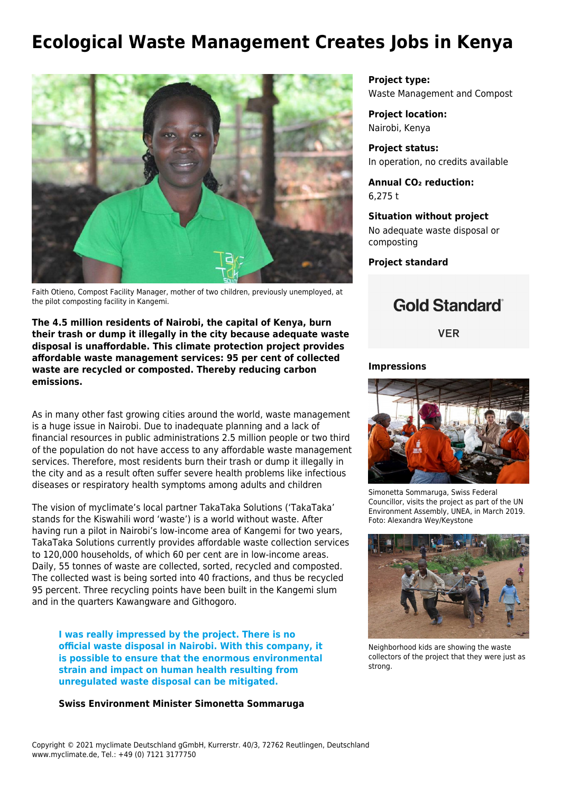# **Ecological Waste Management Creates Jobs in Kenya**



Faith Otieno, Compost Facility Manager, mother of two children, previously unemployed, at the pilot composting facility in Kangemi.

**The 4.5 million residents of Nairobi, the capital of Kenya, burn their trash or dump it illegally in the city because adequate waste disposal is unaffordable. This climate protection project provides affordable waste management services: 95 per cent of collected waste are recycled or composted. Thereby reducing carbon emissions.**

As in many other fast growing cities around the world, waste management is a huge issue in Nairobi. Due to inadequate planning and a lack of financial resources in public administrations 2.5 million people or two third of the population do not have access to any affordable waste management services. Therefore, most residents burn their trash or dump it illegally in the city and as a result often suffer severe health problems like infectious diseases or respiratory health symptoms among adults and children

The vision of myclimate's local partner [TakaTaka Solutions](http://takatakasolutions.com/) ('TakaTaka' stands for the Kiswahili word 'waste') is a world without waste. After having run a pilot in Nairobi's low-income area of Kangemi for two years, TakaTaka Solutions currently provides affordable waste collection services to 120,000 households, of which 60 per cent are in low-income areas. Daily, 55 tonnes of waste are collected, sorted, recycled and composted. The collected wast is being sorted into 40 fractions, and thus be recycled 95 percent. Three recycling points have been built in the Kangemi slum and in the quarters Kawangware and Githogoro.

**I was really impressed by the project. There is no official waste disposal in Nairobi. With this company, it is possible to ensure that the enormous environmental strain and impact on human health resulting from unregulated waste disposal can be mitigated.**

#### **Swiss Environment Minister Simonetta Sommaruga**

**Project type:** Waste Management and Compost

**Project location:** Nairobi, Kenya

**Project status:** In operation, no credits available

**Annual CO₂ reduction:** 6,275 t

**Situation without project** No adequate waste disposal or composting

**Project standard**

# **Gold Standard**®

**VER** 

#### **Impressions**



Simonetta Sommaruga, Swiss Federal Councillor, visits the project as part of the UN Environment Assembly, UNEA, in March 2019. Foto: Alexandra Wey/Keystone



Neighborhood kids are showing the waste collectors of the project that they were just as strong.